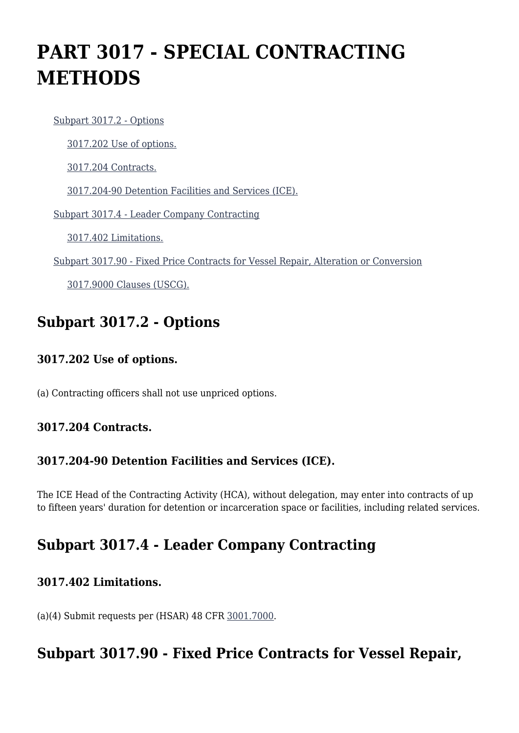# **PART 3017 - SPECIAL CONTRACTING METHODS**

[Subpart 3017.2 - Options](https://origin-www.acquisition.gov/%5Brp:link:hsar-part-3017%5D#Subpart_3017_2_T48_70210181)

[3017.202 Use of options.](https://origin-www.acquisition.gov/%5Brp:link:hsar-part-3017%5D#Section_3017_202_T48_7021018111)

[3017.204 Contracts.](https://origin-www.acquisition.gov/%5Brp:link:hsar-part-3017%5D#Section_3017_204_T48_7021018112)

[3017.204-90 Detention Facilities and Services \(ICE\).](https://origin-www.acquisition.gov/%5Brp:link:hsar-part-3017%5D#Section_3017_204_90_T48_7021018113)

[Subpart 3017.4 - Leader Company Contracting](https://origin-www.acquisition.gov/%5Brp:link:hsar-part-3017%5D#Subpart_3017_4_T48_70210182)

[3017.402 Limitations.](https://origin-www.acquisition.gov/%5Brp:link:hsar-part-3017%5D#Section_3017_402_T48_7021018211)

[Subpart 3017.90 - Fixed Price Contracts for Vessel Repair, Alteration or Conversion](https://origin-www.acquisition.gov/%5Brp:link:hsar-part-3017%5D#Subpart_3017_90_T48_70210183)

[3017.9000 Clauses \(USCG\).](https://origin-www.acquisition.gov/%5Brp:link:hsar-part-3017%5D#Section_3017_9000_T48_7021018311)

## **Subpart 3017.2 - Options**

#### **3017.202 Use of options.**

(a) Contracting officers shall not use unpriced options.

#### **3017.204 Contracts.**

#### **3017.204-90 Detention Facilities and Services (ICE).**

The ICE Head of the Contracting Activity (HCA), without delegation, may enter into contracts of up to fifteen years' duration for detention or incarceration space or facilities, including related services.

## **Subpart 3017.4 - Leader Company Contracting**

#### **3017.402 Limitations.**

(a)(4) Submit requests per (HSAR) 48 CFR [3001.7000](https://origin-www.acquisition.gov/%5Brp:link:hsar-part-3001%5D#Section_3001_7000_T48_70282611).

## **Subpart 3017.90 - Fixed Price Contracts for Vessel Repair,**